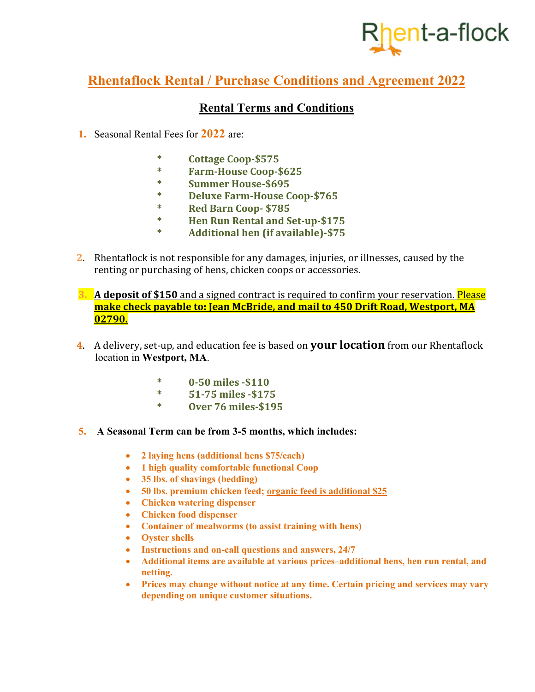# <sub>l</sub>ent-a-flock

### **Rhentaflock Rental / Purchase Conditions and Agreement 2022**

#### **Rental Terms and Conditions**

- **1.** Seasonal Rental Fees for **2022** are:
	- **\* Cottage Coop-\$575**
	- **\* Farm-House Coop-\$625**
	- **\* Summer House-\$695**
	- **\* Deluxe Farm-House Coop-\$765**
	- **\* Red Barn Coop- \$785**
	- **\* Hen Run Rental and Set-up-\$175**
	- **\* Additional hen (if available)-\$75**
- **2.** Rhentaflock is not responsible for any damages, injuries, or illnesses, caused by the renting or purchasing of hens, chicken coops or accessories.
- **3. A deposit of \$150** and a signed contract is required to confirm your reservation. Please **make check payable to: Jean McBride, and mail to 450 Drift Road, Westport, MA 02790.**
- **4.** A delivery, set-up, and education fee is based on **your location** from our Rhentaflock location in **Westport, MA**.
	- **\* 0-50 miles -\$110**
	- **\* 51-75 miles -\$175**
	- **\* Over 76 miles-\$195**
- **5. A Seasonal Term can be from 3-5 months, which includes:** 
	- **2 laying hens (additional hens \$75/each)**
	- **1 high quality comfortable functional Coop**
	- **35 lbs. of shavings (bedding)**
	- **50 lbs. premium chicken feed; organic feed is additional \$25**
	- **Chicken watering dispenser**
	- **Chicken food dispenser**
	- **Container of mealworms (to assist training with hens)**
	- **Oyster shells**
	- **Instructions and on-call questions and answers, 24/7**
	- **Additional items are available at various prices–additional hens, hen run rental, and netting.**
	- **Prices may change without notice at any time. Certain pricing and services may vary depending on unique customer situations.**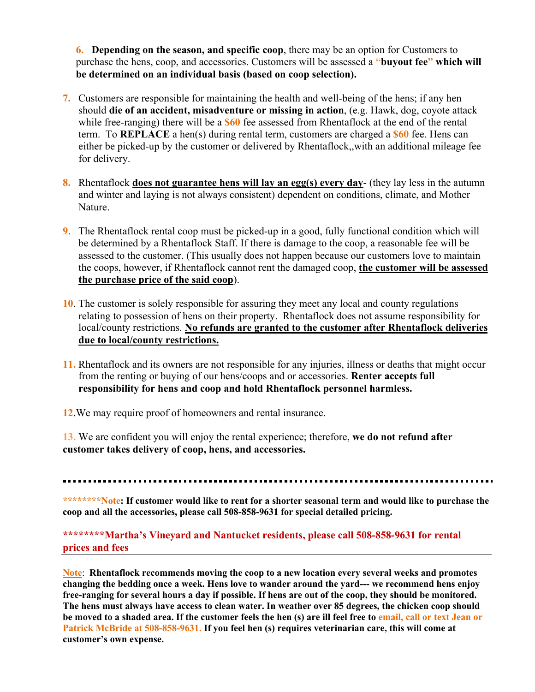**6. Depending on the season, and specific coop**, there may be an option for Customers to purchase the hens, coop, and accessories. Customers will be assessed a **"buyout fee" which will be determined on an individual basis (based on coop selection).** 

- **7.** Customers are responsible for maintaining the health and well-being of the hens; if any hen should **die of an accident, misadventure or missing in action**, (e.g. Hawk, dog, coyote attack while free-ranging) there will be a **\$60** fee assessed from Rhentaflock at the end of the rental term. To **REPLACE** a hen(s) during rental term, customers are charged a **\$60** fee. Hens can either be picked-up by the customer or delivered by Rhentaflock,,with an additional mileage fee for delivery.
- **8.** Rhentaflock **does not guarantee hens will lay an egg(s) every day** (they lay less in the autumn and winter and laying is not always consistent) dependent on conditions, climate, and Mother Nature.
- **9**. The Rhentaflock rental coop must be picked-up in a good, fully functional condition which will be determined by a Rhentaflock Staff. If there is damage to the coop, a reasonable fee will be assessed to the customer. (This usually does not happen because our customers love to maintain the coops, however, if Rhentaflock cannot rent the damaged coop, **the customer will be assessed the purchase price of the said coop**).
- **10**. The customer is solely responsible for assuring they meet any local and county regulations relating to possession of hens on their property. Rhentaflock does not assume responsibility for local/county restrictions. **No refunds are granted to the customer after Rhentaflock deliveries due to local/county restrictions.**
- **11.** Rhentaflock and its owners are not responsible for any injuries, illness or deaths that might occur from the renting or buying of our hens/coops and or accessories. **Renter accepts full responsibility for hens and coop and hold Rhentaflock personnel harmless.**
- **12**.We may require proof of homeowners and rental insurance.

**13.** We are confident you will enjoy the rental experience; therefore, **we do not refund after customer takes delivery of coop, hens, and accessories.** 

**\*\*\*\*\*\*\*\*Note: If customer would like to rent for a shorter seasonal term and would like to purchase the coop and all the accessories, please call 508-858-9631 for special detailed pricing.**

#### **\*\*\*\*\*\*\*\*Martha's Vineyard and Nantucket residents, please call 508-858-9631 for rental prices and fees**

**Note**: **Rhentaflock recommends moving the coop to a new location every several weeks and promotes changing the bedding once a week. Hens love to wander around the yard--- we recommend hens enjoy free-ranging for several hours a day if possible. If hens are out of the coop, they should be monitored. The hens must always have access to clean water. In weather over 85 degrees, the chicken coop should be moved to a shaded area. If the customer feels the hen (s) are ill feel free to email, call or text Jean or Patrick McBride at 508-858-9631. If you feel hen (s) requires veterinarian care, this will come at customer's own expense.**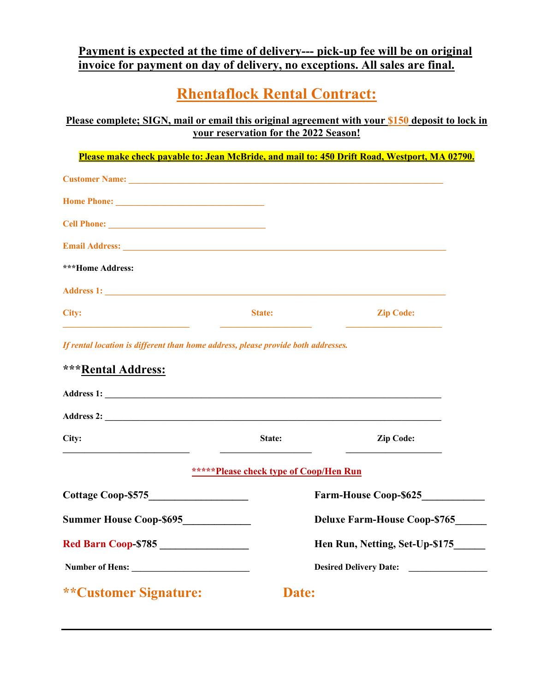#### **Payment is expected at the time of delivery--- pick-up fee will be on original invoice for payment on day of delivery, no exceptions. All sales are final.**

## **Rhentaflock Rental Contract:**

**Please complete; SIGN, mail or email this original agreement with your \$150 deposit to lock in your reservation for the 2022 Season!** 

| <b>Customer Name:</b> Name: Name: Name: Name: Name: Name: Name: Name: Name: Name: Name: Name: Name: Name: Name: Name: Name: Name: Name: Name: Name: Name: Name: Name: Name: Name: Name: Name: Name: Name: Name: Name: Name: Name: N |                                                                                   |                  |
|-------------------------------------------------------------------------------------------------------------------------------------------------------------------------------------------------------------------------------------|-----------------------------------------------------------------------------------|------------------|
|                                                                                                                                                                                                                                     |                                                                                   |                  |
|                                                                                                                                                                                                                                     |                                                                                   |                  |
|                                                                                                                                                                                                                                     |                                                                                   |                  |
| <b>***Home Address:</b>                                                                                                                                                                                                             |                                                                                   |                  |
|                                                                                                                                                                                                                                     |                                                                                   |                  |
| City:                                                                                                                                                                                                                               | <b>State:</b>                                                                     | <b>Zip Code:</b> |
|                                                                                                                                                                                                                                     | If rental location is different than home address, please provide both addresses. |                  |
|                                                                                                                                                                                                                                     |                                                                                   |                  |
|                                                                                                                                                                                                                                     |                                                                                   |                  |
|                                                                                                                                                                                                                                     |                                                                                   |                  |
|                                                                                                                                                                                                                                     |                                                                                   |                  |
|                                                                                                                                                                                                                                     |                                                                                   |                  |
| ***Rental Address:<br>City:                                                                                                                                                                                                         | State:                                                                            | <b>Zip Code:</b> |
|                                                                                                                                                                                                                                     | ******Please check type of Coop/Hen Run                                           |                  |

| <b>Cottage Coop-\$575</b>      | <b>Farm-House Coop-\$625</b>        |
|--------------------------------|-------------------------------------|
| <b>Summer House Coop-\$695</b> | <b>Deluxe Farm-House Coop-\$765</b> |
| <b>Red Barn Coop-\$785</b>     | Hen Run, Netting, Set-Up-\$175      |
| <b>Number of Hens:</b>         | <b>Desired Delivery Date:</b>       |
| <i>**</i> Customer Signature:  | Date:                               |